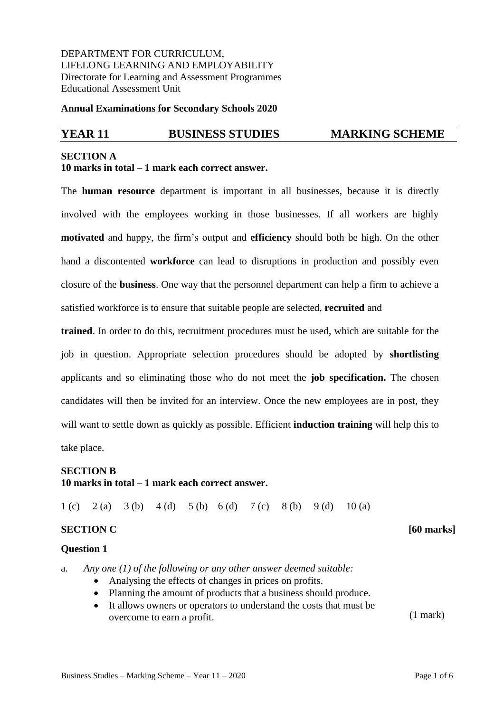DEPARTMENT FOR CURRICULUM, LIFELONG LEARNING AND EMPLOYABILITY Directorate for Learning and Assessment Programmes Educational Assessment Unit

**Annual Examinations for Secondary Schools 2020**

### **YEAR 11 BUSINESS STUDIES MARKING SCHEME**

## **SECTION A 10 marks in total – 1 mark each correct answer.**

The **human resource** department is important in all businesses, because it is directly involved with the employees working in those businesses. If all workers are highly **motivated** and happy, the firm's output and **efficiency** should both be high. On the other hand a discontented **workforce** can lead to disruptions in production and possibly even closure of the **business**. One way that the personnel department can help a firm to achieve a satisfied workforce is to ensure that suitable people are selected, **recruited** and

**trained**. In order to do this, recruitment procedures must be used, which are suitable for the job in question. Appropriate selection procedures should be adopted by **shortlisting**  applicants and so eliminating those who do not meet the **job specification.** The chosen candidates will then be invited for an interview. Once the new employees are in post, they will want to settle down as quickly as possible. Efficient **induction training** will help this to take place.

#### **SECTION B**

### **10 marks in total – 1 mark each correct answer.**

1 (c) 2 (a) 3 (b) 4 (d) 5 (b) 6 (d) 7 (c) 8 (b) 9 (d) 10 (a)

#### **SECTION C** [60 marks]

#### **Question 1**

a. *Any one (1) of the following or any other answer deemed suitable:*

- Analysing the effects of changes in prices on profits.
- Planning the amount of products that a business should produce.
- It allows owners or operators to understand the costs that must be overcome to earn a profit. (1 mark)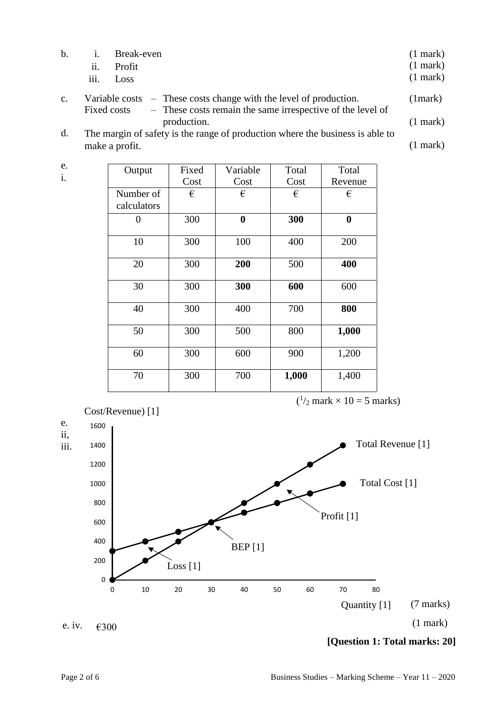| h.             | $\blacksquare$ | Break-even<br>ii. Profit<br>iii. Loss |                                                                                                                                               | $(1$ mark $)$<br>$(1$ mark $)$<br>$(1$ mark $)$ |
|----------------|----------------|---------------------------------------|-----------------------------------------------------------------------------------------------------------------------------------------------|-------------------------------------------------|
| $\mathbf{c}$ . |                |                                       | Variable costs $-$ These costs change with the level of production.<br>Fixed costs - These costs remain the same irrespective of the level of | (1 mark)                                        |

- I hese costs remain the same irrespective of the level of production. (1 mark)
- d. The margin of safety is the range of production where the business is able to make a profit. (1 mark)

| Output      | Fixed | Variable | Total | Total    |
|-------------|-------|----------|-------|----------|
|             | Cost  | Cost     | Cost  | Revenue  |
| Number of   | €     | €        | €     | €        |
| calculators |       |          |       |          |
| 0           | 300   | $\bf{0}$ | 300   | $\bf{0}$ |
|             |       |          |       |          |
| 10          | 300   | 100      | 400   | 200      |
|             |       |          |       |          |
| 20          | 300   | 200      | 500   | 400      |
|             |       |          |       |          |
| 30          | 300   | 300      | 600   | 600      |
|             |       |          |       |          |
| 40          | 300   | 400      | 700   | 800      |
|             |       |          |       |          |
| 50          | 300   | 500      | 800   | 1,000    |
|             |       |          |       |          |
| 60          | 300   | 600      | 900   | 1,200    |
|             |       |          |       |          |
| 70          | 300   | 700      | 1,000 | 1,400    |
|             |       |          |       |          |



e. i.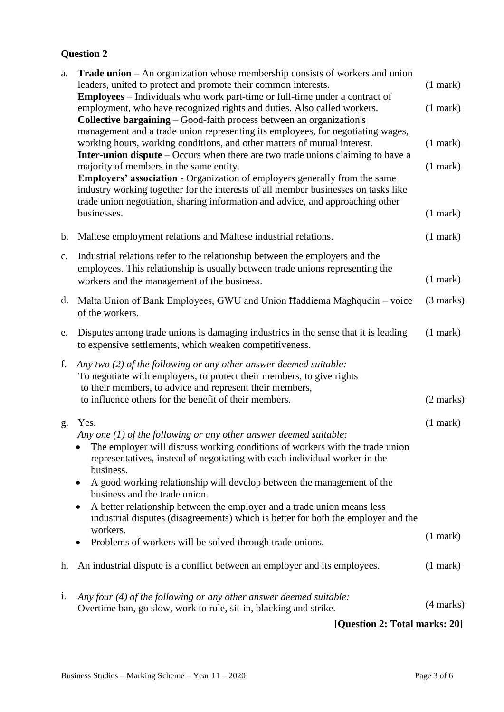# **Question 2**

| a.             | <b>Trade union</b> – An organization whose membership consists of workers and union<br>leaders, united to protect and promote their common interests.                                                                                                                                                                                                                                                                                                                                                                                                 | $(1$ mark $)$       |
|----------------|-------------------------------------------------------------------------------------------------------------------------------------------------------------------------------------------------------------------------------------------------------------------------------------------------------------------------------------------------------------------------------------------------------------------------------------------------------------------------------------------------------------------------------------------------------|---------------------|
|                | Employees - Individuals who work part-time or full-time under a contract of<br>employment, who have recognized rights and duties. Also called workers.<br><b>Collective bargaining</b> – Good-faith process between an organization's<br>management and a trade union representing its employees, for negotiating wages,                                                                                                                                                                                                                              | $(1$ mark $)$       |
|                | working hours, working conditions, and other matters of mutual interest.<br>Inter-union dispute - Occurs when there are two trade unions claiming to have a                                                                                                                                                                                                                                                                                                                                                                                           | $(1$ mark $)$       |
|                | majority of members in the same entity.<br><b>Employers' association - Organization of employers generally from the same</b><br>industry working together for the interests of all member businesses on tasks like<br>trade union negotiation, sharing information and advice, and approaching other                                                                                                                                                                                                                                                  | $(1$ mark $)$       |
|                | businesses.                                                                                                                                                                                                                                                                                                                                                                                                                                                                                                                                           | $(1$ mark $)$       |
| $\mathbf{b}$ . | Maltese employment relations and Maltese industrial relations.                                                                                                                                                                                                                                                                                                                                                                                                                                                                                        | $(1$ mark $)$       |
| $\mathbf{c}$ . | Industrial relations refer to the relationship between the employers and the<br>employees. This relationship is usually between trade unions representing the<br>workers and the management of the business.                                                                                                                                                                                                                                                                                                                                          | $(1$ mark $)$       |
|                | d. Malta Union of Bank Employees, GWU and Union Haddiema Maghqudin – voice<br>of the workers.                                                                                                                                                                                                                                                                                                                                                                                                                                                         | (3 marks)           |
| e.             | Disputes among trade unions is damaging industries in the sense that it is leading<br>to expensive settlements, which weaken competitiveness.                                                                                                                                                                                                                                                                                                                                                                                                         | $(1$ mark $)$       |
| f.             | Any two $(2)$ of the following or any other answer deemed suitable:<br>To negotiate with employers, to protect their members, to give rights<br>to their members, to advice and represent their members,<br>to influence others for the benefit of their members.                                                                                                                                                                                                                                                                                     | $(2 \text{ marks})$ |
| g.             | Yes.<br>Any one (1) of the following or any other answer deemed suitable:<br>The employer will discuss working conditions of workers with the trade union<br>representatives, instead of negotiating with each individual worker in the<br>business.<br>A good working relationship will develop between the management of the<br>٠<br>business and the trade union.<br>A better relationship between the employer and a trade union means less<br>٠<br>industrial disputes (disagreements) which is better for both the employer and the<br>workers. | $(1$ mark $)$       |
|                | Problems of workers will be solved through trade unions.<br>٠                                                                                                                                                                                                                                                                                                                                                                                                                                                                                         | $(1$ mark $)$       |
| h.             | An industrial dispute is a conflict between an employer and its employees.                                                                                                                                                                                                                                                                                                                                                                                                                                                                            | $(1$ mark)          |
| $\mathbf{1}$ . | Any four $(4)$ of the following or any other answer deemed suitable:<br>Overtime ban, go slow, work to rule, sit-in, blacking and strike.                                                                                                                                                                                                                                                                                                                                                                                                             | $(4$ marks)         |
|                | [Question 2: Total marks: 20]                                                                                                                                                                                                                                                                                                                                                                                                                                                                                                                         |                     |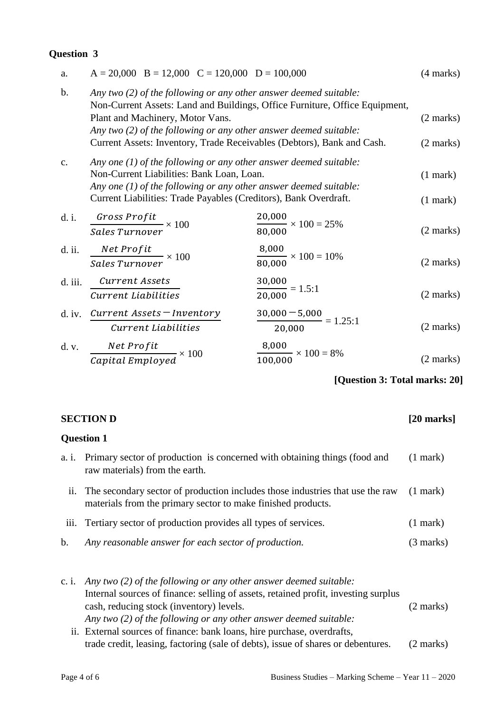## **Question 3**

| a.            | $A = 20,000$ B = 12,000 C = 120,000 D = 100,000                                                                                                                                                                                                                                                                                         |                                           | $(4 \text{ marks})$                        |
|---------------|-----------------------------------------------------------------------------------------------------------------------------------------------------------------------------------------------------------------------------------------------------------------------------------------------------------------------------------------|-------------------------------------------|--------------------------------------------|
| $\mathbf b$ . | Any two $(2)$ of the following or any other answer deemed suitable:<br>Non-Current Assets: Land and Buildings, Office Furniture, Office Equipment,<br>Plant and Machinery, Motor Vans.<br>Any two $(2)$ of the following or any other answer deemed suitable:<br>Current Assets: Inventory, Trade Receivables (Debtors), Bank and Cash. |                                           | $(2 \text{ marks})$<br>$(2 \text{ marks})$ |
| $C_{\bullet}$ | Any one $(1)$ of the following or any other answer deemed suitable:<br>Non-Current Liabilities: Bank Loan, Loan.<br>Any one $(1)$ of the following or any other answer deemed suitable:<br>Current Liabilities: Trade Payables (Creditors), Bank Overdraft.                                                                             |                                           | $(1$ mark $)$<br>$(1$ mark $)$             |
| d. i.         | $\frac{Gross\,Profit}{Sales\,Turnover} \times 100$                                                                                                                                                                                                                                                                                      | $\frac{20,000}{80,000} \times 100 = 25\%$ | $(2 \text{ marks})$                        |
| d. ii.        | $\frac{Net\;Profit}{Sales\;Turnover} \times 100$                                                                                                                                                                                                                                                                                        | $\frac{8,000}{80,000} \times 100 = 10\%$  | $(2 \text{ marks})$                        |
| d. iii.       | Current Assets<br>Current Liabilities                                                                                                                                                                                                                                                                                                   | 30,000<br>$\frac{1}{20,000}$ = 1.5:1      | $(2 \text{ marks})$                        |
|               | d. iv. $Current\,Assets = Inventory$<br>Current Liabilities                                                                                                                                                                                                                                                                             | $\frac{30,000 - 5,000}{20,000} = 1.25:1$  | $(2 \text{ marks})$                        |
|               | d. v. $\frac{Net Profit}{Capital\ Employd} \times 100$                                                                                                                                                                                                                                                                                  | $\frac{8,000}{100,000} \times 100 = 8\%$  | (2 marks)                                  |

**[Question 3: Total marks: 20]**

| <b>SECTION D</b><br>$[20$ marks]<br><b>Question 1</b> |                                                                                                                                                                                                                                                                              |                     |
|-------------------------------------------------------|------------------------------------------------------------------------------------------------------------------------------------------------------------------------------------------------------------------------------------------------------------------------------|---------------------|
|                                                       |                                                                                                                                                                                                                                                                              |                     |
| $\overline{\mathbf{11}}$ .                            | The secondary sector of production includes those industries that use the raw<br>materials from the primary sector to make finished products.                                                                                                                                | $(1$ mark)          |
| iii.                                                  | Tertiary sector of production provides all types of services.                                                                                                                                                                                                                | $(1$ mark)          |
| $\mathbf{b}$ .                                        | Any reasonable answer for each sector of production.                                                                                                                                                                                                                         | $(3 \text{ marks})$ |
| c. i.                                                 | Any two $(2)$ of the following or any other answer deemed suitable:<br>Internal sources of finance: selling of assets, retained profit, investing surplus<br>cash, reducing stock (inventory) levels.<br>Any two $(2)$ of the following or any other answer deemed suitable: | (2 marks)           |
|                                                       | ii. External sources of finance: bank loans, hire purchase, overdrafts,                                                                                                                                                                                                      |                     |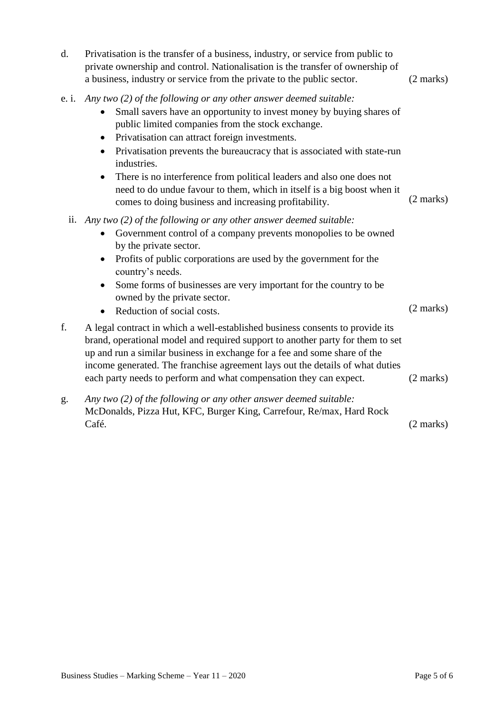| d.           | Privatisation is the transfer of a business, industry, or service from public to<br>private ownership and control. Nationalisation is the transfer of ownership of<br>a business, industry or service from the private to the public sector.                                                                                                                                                                                                                                                                                                                                                         | $(2 \text{ marks})$ |
|--------------|------------------------------------------------------------------------------------------------------------------------------------------------------------------------------------------------------------------------------------------------------------------------------------------------------------------------------------------------------------------------------------------------------------------------------------------------------------------------------------------------------------------------------------------------------------------------------------------------------|---------------------|
| e. <i>i.</i> | Any two (2) of the following or any other answer deemed suitable:<br>Small savers have an opportunity to invest money by buying shares of<br>$\bullet$<br>public limited companies from the stock exchange.<br>Privatisation can attract foreign investments.<br>٠<br>Privatisation prevents the bureaucracy that is associated with state-run<br>$\bullet$<br>industries.<br>There is no interference from political leaders and also one does not<br>$\bullet$<br>need to do undue favour to them, which in itself is a big boost when it<br>comes to doing business and increasing profitability. | $(2 \text{ marks})$ |
| ii.          | Any two (2) of the following or any other answer deemed suitable:<br>Government control of a company prevents monopolies to be owned<br>٠<br>by the private sector.<br>Profits of public corporations are used by the government for the<br>$\bullet$<br>country's needs.<br>Some forms of businesses are very important for the country to be<br>$\bullet$                                                                                                                                                                                                                                          |                     |
|              | owned by the private sector.<br>Reduction of social costs.<br>$\bullet$                                                                                                                                                                                                                                                                                                                                                                                                                                                                                                                              | $(2 \text{ marks})$ |
| f.           | A legal contract in which a well-established business consents to provide its<br>brand, operational model and required support to another party for them to set<br>up and run a similar business in exchange for a fee and some share of the<br>income generated. The franchise agreement lays out the details of what duties<br>each party needs to perform and what compensation they can expect.                                                                                                                                                                                                  | $(2 \text{ marks})$ |
| g.           | Any two (2) of the following or any other answer deemed suitable:<br>McDonalds, Pizza Hut, KFC, Burger King, Carrefour, Re/max, Hard Rock                                                                                                                                                                                                                                                                                                                                                                                                                                                            |                     |

Café.  $(2 \text{ marks})$